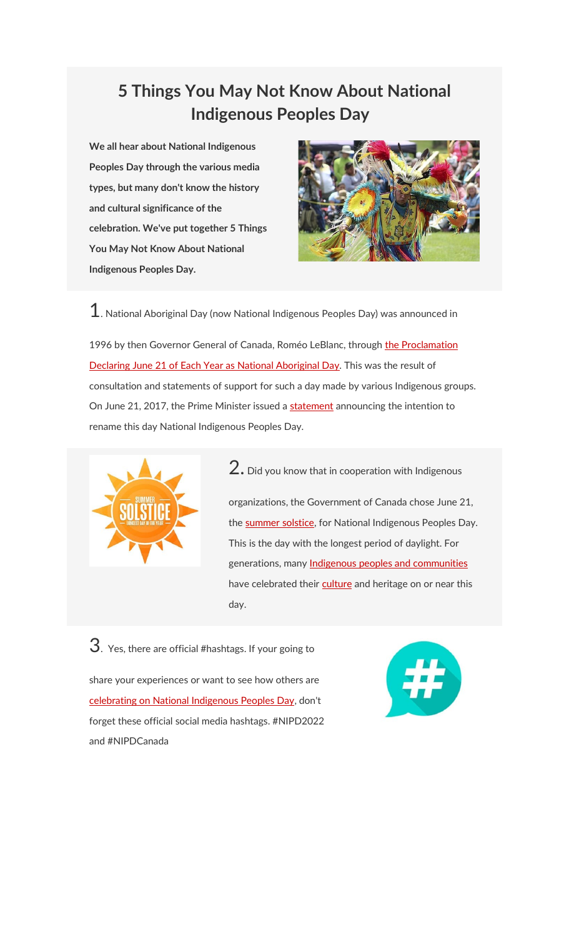## **5 Things You May Not Know About National Indigenous Peoples Day**

**We all hear about National Indigenous Peoples Day through the various media types, but many don't know the history and cultural significance of the celebration. We've put together 5 Things You May Not Know About National Indigenous Peoples Day.**



 $\boldsymbol{1}$ . National Aboriginal Day (now National Indigenous Peoples Day) was announced in

1996 by then Governor General of Canada, Roméo LeBlanc, through *the Proclamation* [Declaring June 21 of Each Year as National Aboriginal Day.](https://www.ictinc.ca/e3t/Ctc/F8+113/c2nyF04/VWBsD56hVjRGVm31dD1c25YzW67tPB74Lxv-9MwF3Tf3lLBGV1-WJV7CgVRpW2-rZw13dpftWW8rD0831yF54tW4TZxzL4vM2wtW5xbtjt4537x1W53WzjW7J4rnPW5h4jZR8JGPzNW39TxRf7FcJPLW6HCPWg7fbPbZW6WKt103WcTv2W8m6Ns014py_xW52RQ876SVkMyVj636l8k2DKkVRH4jT2qt2bTW6TsDMs4Kwv4fVQMs6b22Lb6SW18RwPw1dsg_VW8clZ2D96KXFdTf_kr5k8-ffW320Rvn67nXJvW9fFrf139qr4mW27WQnV934wdHMwjKl0kb_7WVLxnlg2h5f1ZW5PRFKj7wm75t3jjX1) This was the result of consultation and statements of support for such a day made by various Indigenous groups. On June 21, 2017, the Prime Minister issued a [statement](https://www.ictinc.ca/e3t/Ctc/F8+113/c2nyF04/VWBsD56hVjRGVm31dD1c25YzW67tPB74Lxv-9MwF3TS3lLCfV1-WJV7CgJXMW5B95wr305kWyW29zdCB8XtnlFV7-1mk9l-cfyW5YH0xM44tTqMW1_sxxm2s6jV-W5Q7T_X5Pn-6SW3BntTd437gKsW88GfWb1w6Kn0W4SvmsN93McNsW5FKPyd8hH5GpVdvmgr4mmz_fW3GW0Gk1svwDZW3JqjZC5s50KNN44SjdX9p7PzW26QtHh4N_PqDW83Pg784FzXjrN3ZPYLwBS6PsW5cdmv45vqg9wN7c07WWrZw4vW2BsMQd229S41W8rw4RG7b-YcvVGyzW864PpxlW4B0qcC6mxKDKW8J0psv7XdWksW4jr9Ks6rwgNkW5RfBQZ1Rjw3BN3Rcxc29vB4wVRgf5S1hWDnL3dyv1) announcing the intention to rename this day National Indigenous Peoples Day.



 $2.$  Did you know that in cooperation with Indigenous

organizations, the Government of Canada chose June 21, the **summer solstice**, for National Indigenous Peoples Day. This is the day with the longest period of daylight. For generations, many [Indigenous peoples and](https://www.ictinc.ca/e3t/Ctc/F8+113/c2nyF04/VWBsD56hVjRGVm31dD1c25YzW67tPB74Lxv-9MwF3SZ3lLBmV1-WJV7CgBjFW5_C-Zg1WD4mBVby1Qj12vM6yW8M2cQx7YPzZ1W2R1Cly8zDKPCW6nlszs9c7Sv4W2mdgDR3rvvgnVyldxh1xktF-W5-wKJC1bmk0XW5xkpJR5-dKQHW21KSMG4LmY65W6gBlyf47s4HWW1vf9Sv7nBhkXV34RBT6N4hvGW1LQR5s1Gk1mfW3jWhfB1VXBSxW8h-G1Z9kPQL1W7-QCDT5bSwTfW6R95fj7BD0MJW905vpn4clvSRW34rCMZ6D4YhKW7jyKTK8FbCvQW1Vlmh58jYm-P32Ch1) communities have celebrated their [culture](https://www.ictinc.ca/e3t/Ctc/F8+113/c2nyF04/VWBsD56hVjRGVm31dD1c25YzW67tPB74Lxv-9MwF3Ty3lLBZV1-WJV7CgHW2VrF4JP1Pht7lW7GRn5b5t9-S1W7RfgfM6xk210W13Jy2K3W7M8rW5TgVjs5tVxSGN9fxBVYg_zg2N4Xv14ZPKT1HN1-NCJV5xpC0Vy-BgS5QvkGKW8WZRQG21jNC7W10Rmyg36m349Vm25KF1jb3d9W27CZkz98-zQcW3j0r9J9l-Y0HW44vRqW5CtM-_W6Ph73s22wn1rW3lTbzf19PLW1W3y8Qp93XV951W2HBwz623b5VBW3Zpp4V49M7X-W5pwxf847vtgyW3-XW2-85t3YzW1C7Nf43xRvlkW514KYz8mQRJ9W3T3nXV5cVP4jW29J0wz6zxwk331Kc1) and heritage on or near this day.

 $\rm 3$ . Yes, there are official #hashtags. If your going to share your experiences or want to see how others are [celebrating on National Indigenous Peoples Day,](https://www.ictinc.ca/e3t/Ctc/F8+113/c2nyF04/VWBsD56hVjRGVm31dD1c25YzW67tPB74Lxv-9MwF3SZ3lLBmV1-WJV7CgC7SVkQlPj5JB4kKN7jkmN4BFG08W1-GZp53C526FN76tvbPSrGtDW5P6JDB29ltTrW7mglk06RR-_nW2zt3-v8Vp0_pW4t8Wwj6xXsctW7J9kwp1qH1qRVhw9pq6_-G16W4Sjlg_1Jxz3PW2RYrjX41v3kxW23PqHf4HTM4NW8Kwg2D81JlzwW3sBfCj7s3gxyW4k-dL_6_Vg7GW4gdWwK40VqcmW8RF12G5WG3nqW1G-q5R4ljh6yW4ddr-F7gPmlQV2jgts3B3rScW8zrrrJ46Pr3x3bgv1) don't forget these official social media hashtags. #NIPD2022 and #NIPDCanada